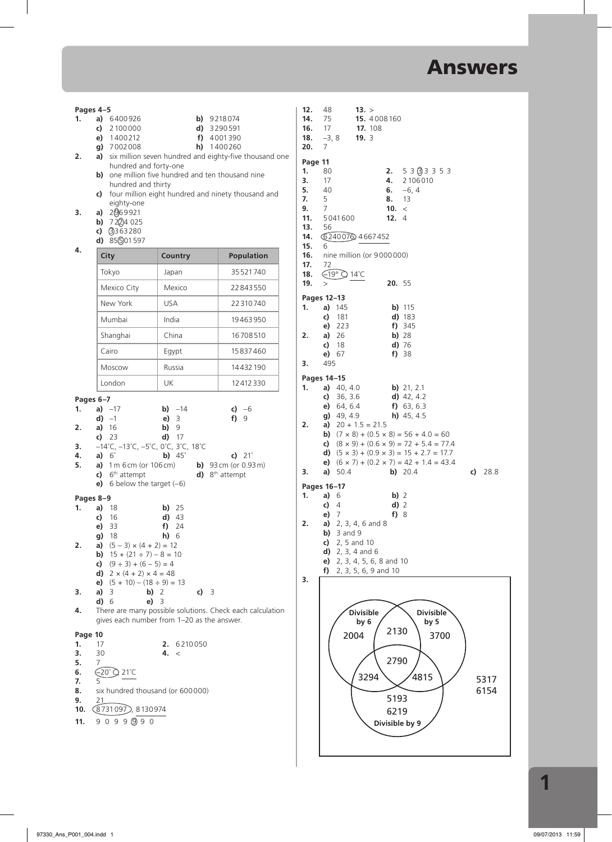**3. a)** 50.4 **b)** 20.4 **c)** 28.8

5317

6154

**Divisible by 9**

|                                            | Pages 4-5                                                                                                                       |                                                           |                              |           | 12.                                                          | 48                                          | 13. >                          |               |                                                                                                                            |
|--------------------------------------------|---------------------------------------------------------------------------------------------------------------------------------|-----------------------------------------------------------|------------------------------|-----------|--------------------------------------------------------------|---------------------------------------------|--------------------------------|---------------|----------------------------------------------------------------------------------------------------------------------------|
| 1.                                         | a) 6400926<br>c) $2100000$                                                                                                      |                                                           | $b)$ 9218074<br>$d)$ 3290591 |           | 14.<br>16.                                                   | 75<br>17                                    | <b>15.</b> 4008 160<br>17. 108 |               |                                                                                                                            |
|                                            | e) 1400212<br>g) 7002008                                                                                                        |                                                           | f) 4001390<br>$h)$ 1400260   |           | 18.<br>20.                                                   | $-3, 8$<br>7                                | 19.3                           |               |                                                                                                                            |
| 2.                                         |                                                                                                                                 | a) six million seven hundred and eighty-five thousand one |                              |           | Page 11                                                      |                                             |                                |               |                                                                                                                            |
|                                            | hundred and forty-one                                                                                                           | b) one million five hundred and ten thousand nine         |                              | 1.        |                                                              | 80                                          |                                | 2.            | 53(333553)                                                                                                                 |
|                                            | hundred and thirty                                                                                                              |                                                           |                              | 3.<br>5.  |                                                              | 17<br>40                                    |                                | 4.<br>6.      | 2 10 6 0 10<br>$-6, 4$                                                                                                     |
|                                            | eighty-one                                                                                                                      | c) four million eight hundred and ninety thousand and     |                              | 7.<br>9.  |                                                              | 5<br>$\overline{7}$                         |                                | 8.<br>10. $<$ | 13                                                                                                                         |
| 3.                                         | a) $2069921$<br><b>b)</b> $722/24025$                                                                                           |                                                           |                              |           | 11.                                                          | 5041600                                     |                                | 12.4          |                                                                                                                            |
|                                            | c) $(3)363280$                                                                                                                  |                                                           |                              |           | 13.<br>14.                                                   | 56                                          | G24007Q 4667452                |               |                                                                                                                            |
| 4.                                         | d) $85\frac{6}{10}01597$                                                                                                        |                                                           |                              |           | 15.                                                          | 6                                           |                                |               |                                                                                                                            |
|                                            | City                                                                                                                            | <b>Country</b>                                            | <b>Population</b>            |           | 16.<br>17.                                                   | 72                                          | nine million (or 9000000)      |               |                                                                                                                            |
|                                            | Tokyo                                                                                                                           | Japan                                                     | 35 521 740                   |           | 18.<br>19.                                                   | $\bigoplus$ 19° $\bigcirc$ 14°C<br>$\rm{>}$ |                                | 20. 55        |                                                                                                                            |
|                                            | Mexico City                                                                                                                     | Mexico                                                    | 22843550                     |           |                                                              | Pages 12-13                                 |                                |               |                                                                                                                            |
|                                            | New York                                                                                                                        | <b>USA</b>                                                | 22310740                     | 1.        |                                                              | a) $145$                                    |                                |               | $b)$ 115                                                                                                                   |
|                                            | Mumbai                                                                                                                          | India                                                     | 19463950                     |           |                                                              | 181<br>c)<br>223<br>e)                      |                                |               | d) 183<br>$f)$ 345                                                                                                         |
|                                            | Shanghai                                                                                                                        | China                                                     | 16708510                     | 2.        |                                                              | a) $26$                                     |                                |               | $b)$ 28                                                                                                                    |
|                                            | Cairo                                                                                                                           | Egypt                                                     | 15837460                     |           |                                                              | c)<br>18<br>e) 67                           |                                |               | $d)$ 76<br>$f)$ 38                                                                                                         |
|                                            | Moscow                                                                                                                          | Russia                                                    | 14432190                     | 3.        |                                                              | 495                                         |                                |               |                                                                                                                            |
|                                            | London                                                                                                                          | UK                                                        | 12412330                     | 1.        |                                                              | Pages 14-15<br>a) $40, 4.0$                 |                                |               | b) $21, 2.1$                                                                                                               |
|                                            | Pages 6-7                                                                                                                       |                                                           |                              |           |                                                              | c) $36, 3.6$                                |                                |               | $d)$ 42, 4.2                                                                                                               |
| 1.                                         | a) $-17$<br>$d) -1$                                                                                                             | <b>b)</b> $-14$<br>$e)$ 3                                 | c) $-6$<br>$f)$ 9            |           |                                                              | e) 64, 6.4<br>$g)$ 49, 4.9                  |                                |               | f) $63, 6.3$<br>$h)$ 45, 4.5                                                                                               |
| 2.                                         | a) $16$                                                                                                                         | $b)$ 9                                                    |                              | 2.        |                                                              |                                             | a) $20 + 1.5 = 21.5$           |               | <b>b)</b> $(7 \times 8) + (0.5 \times 8) = 56 + 4.0 = 60$                                                                  |
| 3.                                         | c) 23<br>$-14^{\circ}$ C, $-13^{\circ}$ C, $-5^{\circ}$ C, 0 $^{\circ}$ C, 3 $^{\circ}$ C, 18 $^{\circ}$ C                      | $d)$ 17                                                   |                              |           |                                                              |                                             |                                |               | c) $(8 \times 9) + (0.6 \times 9) = 72 + 5.4 = 77.4$                                                                       |
| 4.<br>5.                                   | a) $6^\circ$<br>b) $45^\circ$<br>c) $21^\circ$<br>a) $1 m 6 cm (or 106 cm)$<br><b>b)</b> $93 \text{ cm}$ (or $0.93 \text{ m}$ ) |                                                           |                              |           |                                                              |                                             |                                |               | <b>d)</b> $(5 \times 3) + (0.9 \times 3) = 15 + 2.7 = 17.7$<br><b>e)</b> $(6 \times 7) + (0.2 \times 7) = 42 + 1.4 = 43.4$ |
|                                            | $c)$ 6 <sup>th</sup> attempt                                                                                                    | 3.                                                        |                              | a) $50.4$ |                                                              |                                             | b) 20.4                        |               |                                                                                                                            |
|                                            | e) 6 below the target $(-6)$                                                                                                    |                                                           |                              | 1.        |                                                              | Pages 16-17<br>a)<br>- 6                    |                                | $b)$ 2        |                                                                                                                            |
| 1.                                         | Pages 8-9<br>a) 18                                                                                                              | <b>b)</b> 25                                              |                              |           |                                                              | c)<br>4                                     |                                | $d)$ 2        |                                                                                                                            |
|                                            | -16<br>c)<br>e) 33                                                                                                              | $d)$ 43                                                   |                              | 2.        |                                                              | e) 7                                        | a) $2, 3, 4, 6$ and 8          | $f$ ) 8       |                                                                                                                            |
|                                            | g) 18                                                                                                                           | $f)$ 24<br>$h)$ 6                                         |                              |           |                                                              | $b)$ 3 and 9                                |                                |               |                                                                                                                            |
| 2.                                         | a) $(5-3) \times (4+2) = 12$<br><b>b)</b> $15 + (21 \div 7) - 8 = 10$                                                           |                                                           |                              |           |                                                              | c) 2, 5 and 10<br><b>d)</b> 2, 3, 4 and 6   |                                |               |                                                                                                                            |
|                                            | c) $(9 \div 3) + (6 - 5) = 4$                                                                                                   |                                                           |                              |           | <b>e)</b> 2, 3, 4, 5, 6, 8 and 10<br>f) 2, 3, 5, 6, 9 and 10 |                                             |                                |               |                                                                                                                            |
|                                            | <b>d)</b> $2 \times (4 + 2) \times 4 = 48$<br><b>e)</b> $(5 + 10) - (18 \div 9) = 13$                                           |                                                           |                              | 3.        |                                                              |                                             |                                |               |                                                                                                                            |
| 3.                                         | a) 3<br>$b)$ 2<br>c) 3<br>d) 6<br>$e)$ 3                                                                                        |                                                           |                              |           |                                                              |                                             |                                |               |                                                                                                                            |
| 4.                                         | There are many possible solutions. Check each calculation                                                                       |                                                           |                              |           |                                                              |                                             | <b>Divisible</b>               |               | Divisible                                                                                                                  |
| gives each number from 1-20 as the answer. |                                                                                                                                 |                                                           |                              |           |                                                              |                                             | by $6$                         | 2130          | by 5                                                                                                                       |
| Page 10<br>1.                              | 17                                                                                                                              |                                                           |                              |           | 2004                                                         |                                             | 3700                           |               |                                                                                                                            |
| 3.                                         | 2. 6210050<br>30<br>4. <                                                                                                        |                                                           |                              |           |                                                              |                                             |                                |               |                                                                                                                            |
| 5.<br>6.                                   | 7<br>(−20° C 21°C                                                                                                               |                                                           |                              |           | 3294                                                         | 2790<br>4815                                |                                |               |                                                                                                                            |
| 7.<br>8.                                   | six hundred thousand (or 600000)                                                                                                |                                                           |                              |           |                                                              |                                             |                                |               |                                                                                                                            |
| 9.                                         | 21                                                                                                                              |                                                           |                              |           |                                                              | 5193                                        |                                |               |                                                                                                                            |
| 10.                                        | (8731097), 8130974                                                                                                              |                                                           |                              |           |                                                              |                                             |                                | 6219          |                                                                                                                            |

**11.** 9 0 9 9 9 9 0

**1**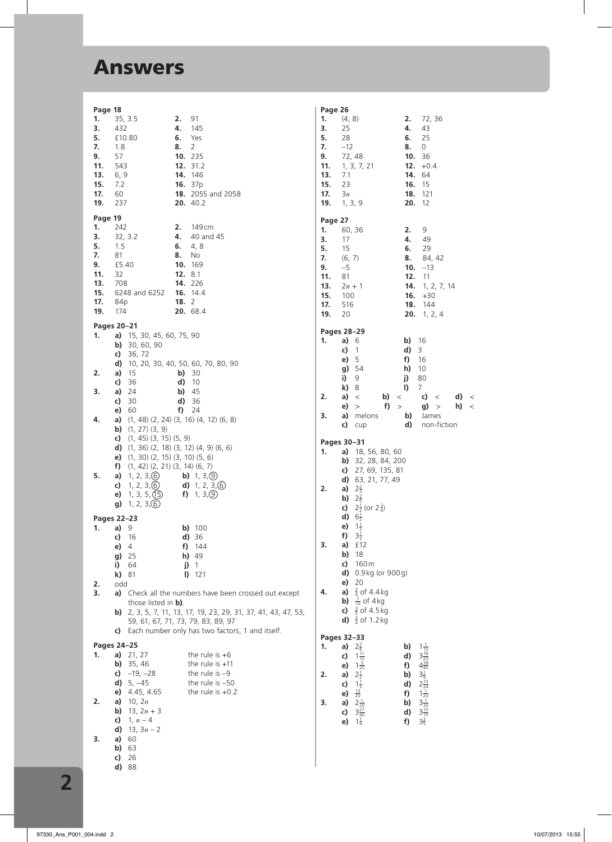| Page 18    |                                                  |                                                             |
|------------|--------------------------------------------------|-------------------------------------------------------------|
| 1.         | 35, 3.5                                          | 91<br>2.                                                    |
| 3.         | 432                                              | 4.<br>145                                                   |
| 5.         | £10.80                                           | 6.<br>Yes                                                   |
| 7.<br>9.   | 1.8<br>57                                        | 8.<br>2<br>10.<br>235                                       |
| 11.        | 543                                              | 12.<br>31.2                                                 |
| 13.        | 6, 9                                             | 14.<br>146                                                  |
| 15.        | 7.2                                              | 16.<br>37p                                                  |
| 17.        | 60                                               | 18.<br>2055 and 2058                                        |
| 19.        | 237                                              | 20. 40.2                                                    |
| Page 19    |                                                  |                                                             |
| 1.         | 242                                              | 2.<br>149 cm                                                |
| 3.         | 32, 3.2                                          | 4.<br>40 and 45                                             |
| 5.         | 1.5                                              | 6.<br>4, 8                                                  |
| 7.         | 81                                               | 8.<br>No                                                    |
| 9.         | £5.40                                            | 10.<br>169                                                  |
| 11.        | 32                                               | 12.<br>8.1                                                  |
| 13.<br>15. | 708<br>6248 and 6252                             | 14.<br>226<br>16.<br>14.4                                   |
| 17.        | 84p                                              | 18.<br>2                                                    |
| 19.        | 174                                              | 20.<br>68.4                                                 |
|            |                                                  |                                                             |
|            | Pages 20-21                                      |                                                             |
| 1.         | 15, 30, 45, 60, 75, 90<br>a)<br>30, 60, 90<br>b) |                                                             |
|            | c)<br>36, 72                                     |                                                             |
|            | d)                                               | 10, 20, 30, 40, 50, 60, 70, 80, 90                          |
| 2.         | 15<br>a)                                         | b)<br>30                                                    |
|            | c)<br>36                                         | d)<br>10                                                    |
| 3.         | a)<br>24                                         | b)<br>45                                                    |
|            | c)<br>30                                         | 36<br>d)                                                    |
|            | e)<br>60                                         | 24<br>f)                                                    |
| 4.         | a)<br>b)<br>$(1, 27)$ $(3, 9)$                   | $(1, 48)$ $(2, 24)$ $(3, 16)$ $(4, 12)$ $(6, 8)$            |
|            | c)<br>$(1, 45)$ $(3, 15)$ $(5, 9)$               |                                                             |
|            | d)                                               | $(1, 36)$ $(2, 18)$ $(3, 12)$ $(4, 9)$ $(6, 6)$             |
|            | $(1, 30)$ $(2, 15)$ $(3, 10)$ $(5, 6)$<br>e)     |                                                             |
|            | $(1, 42)$ $(2, 21)$ $(3, 14)$ $(6, 7)$<br>f)     |                                                             |
| 5.         | 1, 2, 3, 6<br>a)                                 | 1, 3, 9<br>b)                                               |
|            | 1, 2, 3, 6<br>c)                                 | 1, 2, 3, 6<br>d)                                            |
|            | 1, 3, 5, 15<br>e)                                | 1, 3, 9<br>f)                                               |
|            | 1, 2, 3, 6)<br>g)                                |                                                             |
|            | Pages 22–23                                      |                                                             |
| 1.         | 9<br>a)                                          | 100<br>b)                                                   |
|            | c)<br>16                                         | d)<br>36<br>f)                                              |
|            | e)<br>4<br>25<br>g)                              | 144<br>h)<br>-49                                            |
|            | i)<br>64                                         | j)<br>1                                                     |
|            | k)<br>81                                         | I)<br>121                                                   |
| 2.         | odd                                              |                                                             |
| 3.         | a)                                               | Check all the numbers have been crossed out except          |
|            | those listed in <b>b)</b> .                      |                                                             |
|            | b)                                               | 2, 3, 5, 7, 11, 13, 17, 19, 23, 29, 31, 37, 41, 43, 47, 53, |
|            |                                                  | 59, 61, 67, 71, 73, 79, 83, 89, 97                          |
|            | C)                                               | Each number only has two factors, 1 and itself.             |
|            | Pages 24-25                                      |                                                             |
| 1.         | a)<br>21, 27                                     | the rule is $+6$                                            |
|            | b)<br>35, 46                                     | the rule is $+11$                                           |
|            | $-19, -28$<br>C)<br>d)<br>$5, -45$               | the rule is $-9$<br>the rule is $-50$                       |
|            | 4.45, 4.65<br>e)                                 | the rule is $+0.2$                                          |
| 2.         | 10, $2n$<br>a)                                   |                                                             |
|            | b)<br>$13, 2n + 3$                               |                                                             |
|            | c)<br>$1, n-4$                                   |                                                             |
|            | d)<br>13, $3n - 2$                               |                                                             |
| 3.         | a)<br>60                                         |                                                             |
|            | b)<br>63                                         |                                                             |
|            | c)<br>26<br>d)<br>88                             |                                                             |
|            |                                                  |                                                             |

Page 26 1.  $(4, 8)$ 2. 72, 36 4.  $43$ <br>6. 25<br>8. 0 25  $3.$  $5.$ 28  $7.$  $-12$ 72,48 10. 36 9. 11.  $1, 3, 7, 21$ <br>13.  $7.1$ <br>15. 23 12.  $+0.4$ 14. 64 16. 15 17.  $3n$ 18. 121 19.  $1, 3, 9$  $20.12$ Page 27  $1. 60, 36$  $2.9$ 4.  $49$ <br>
6. 29<br>
8. 84, 42  $3. 17$  $5.$ 15  $\overline{7}$ .  $(6, 7)$ 9.  $-5$ 10.  $-13$ 11.  $81$  $12.11$ **13.**  $2n + 1$ <br>**15.** 100 **14.**  $1, 2, 7, 14$ <br>**16.**  $+30$ 17. 516 18. 144 19. 20 **20.** 1, 2, 4 Pages 28-29  $b)$  16 1. a)  $6$  $\overrightarrow{d}$  3  $c)$  1  $e) 5$  $f)$  16  $h)$  10 g) 54  $\overline{1}$  9 j) 80  $k)$  8  $I)$  7 b) < c) <<br>f) > g) >  $2.$ a)  $\langle$  $d) <$ e)  $>$  $h) <$ a) melons b) James<br>c) cup d) non-fiction  $3.$ Pages 30-31 **1. a)** 18, 56, 80, 60 **b)** 32, 28, 84, 200<br>**c)** 27, 69, 135, 81 d)  $63, 21, 77, 49$  $2.$ a)  $2\frac{2}{3}$ **b)**  $2\frac{2}{5}$ c)  $2\frac{1}{2}$  (or  $2\frac{2}{4}$ ) **d)**  $6\frac{1}{2}$ <br>**e)**  $1\frac{1}{2}$ **f)**  $3\frac{1}{3}$  $3.$  $a)$   $f12$  $b)$  18  $c)$  160 m  $d)$  0.9 kg (or 900 g) e)  $20$ **a)**  $\frac{3}{4}$  of 4.4 kg 4. **b)**  $\frac{7}{10}$  of 4 kg c)  $\frac{3}{5}$  of 4.5 kg **d)**  $\frac{3}{4}$  of 1.2 kg Pages 32-33 b)  $1\frac{1}{10}$ <br>d)  $3\frac{19}{20}$ <br>f)  $4\frac{39}{40}$ <br>b)  $3\frac{1}{9}$ <br>d)  $2\frac{13}{24}$ <br>f)  $3\frac{7}{20}$ <br>d)  $3\frac{7}{15}$ <br>f) 3 1. a)  $2\frac{7}{8}$ **a**)  $2\frac{1}{8}$ <br> **c**)  $1\frac{3}{15}$ <br> **e**)  $1\frac{3}{20}$ <br> **a**)  $2\frac{1}{2}$ <br> **c**)  $1\frac{13}{5}$ <br> **a**)  $2\frac{1}{20}$ <br> **a**)  $2\frac{1}{20}$ <br> **d**)  $3\frac{2}{40}$ <br> **e**)  $1\frac{1}{4}$  $2.$  $3.$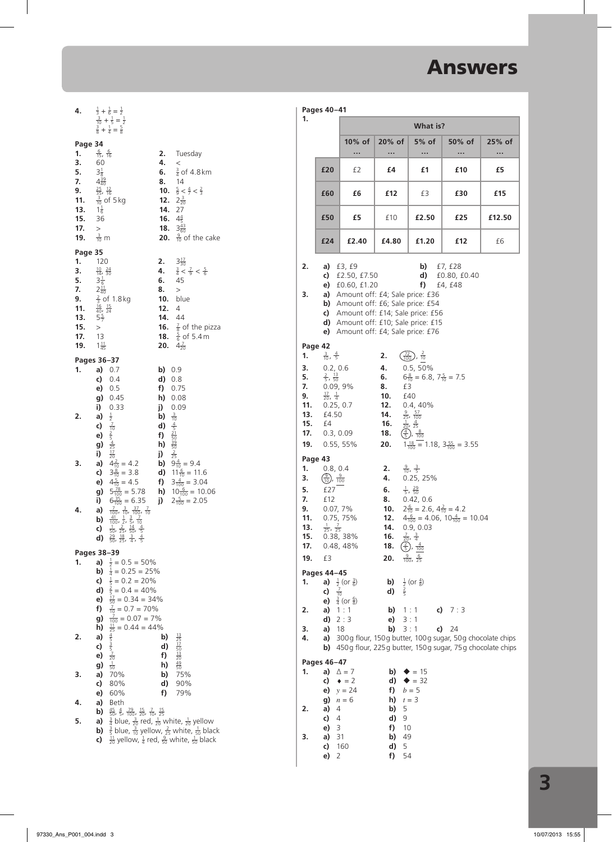| 4.                                                                       |                                                                                                                                                                       | $\frac{1}{3} + \frac{1}{6} = \frac{1}{2}$<br>$\frac{3}{10} + \frac{1}{5} = \frac{1}{2}$<br>$\frac{3}{8} + \frac{1}{4} = \frac{5}{8}$                                                                                                                                                                                                                                                                                                                                                                                                                                                                                                       |                                           |                                                                                                                                                                                                                                                                                  |
|--------------------------------------------------------------------------|-----------------------------------------------------------------------------------------------------------------------------------------------------------------------|--------------------------------------------------------------------------------------------------------------------------------------------------------------------------------------------------------------------------------------------------------------------------------------------------------------------------------------------------------------------------------------------------------------------------------------------------------------------------------------------------------------------------------------------------------------------------------------------------------------------------------------------|-------------------------------------------|----------------------------------------------------------------------------------------------------------------------------------------------------------------------------------------------------------------------------------------------------------------------------------|
| Page 34<br>1.<br>3.<br>5.<br>7.<br>9.<br>11.<br>13.<br>15.<br>17.<br>19. | $\frac{6}{15}$ , $\frac{6}{16}$<br>60<br>$3\frac{1}{8}$<br>$4\frac{39}{40}$<br>$\frac{25}{35}$ , $\frac{12}{16}$<br>$1\frac{1}{6}$<br>36<br>$\,>$<br>$\frac{3}{10}$ m | $\frac{3}{10}$ of 5 kg                                                                                                                                                                                                                                                                                                                                                                                                                                                                                                                                                                                                                     | 2.<br>4.<br>6.<br>8.<br>10.<br>14.<br>16. | Tuesday<br>$\,<$<br>$\frac{3}{4}$ of 4.8 km<br>14<br>$\frac{5}{9} < \frac{4}{7} < \frac{2}{3}$<br>12. $2\frac{3}{20}$<br>27<br>$4\frac{4}{5}$<br>18. $3\frac{43}{60}$<br><b>20.</b> $\frac{9}{10}$ of the cake                                                                   |
| Page 35                                                                  |                                                                                                                                                                       |                                                                                                                                                                                                                                                                                                                                                                                                                                                                                                                                                                                                                                            |                                           |                                                                                                                                                                                                                                                                                  |
| 1.<br>3.<br>5.<br>7.<br>9.<br>11.<br>13.<br>15.<br>17.<br>19.            | 120<br>$\frac{10}{14}$ , $\frac{24}{30}$<br>$3\frac{1}{6}$<br>$2\frac{11}{40}$<br>$\,>$<br>13<br>$1\frac{11}{45}$                                                     | $\frac{2}{3}$ of 1.8 kg<br>$\frac{16}{40}$ , $\frac{15}{24}$<br>$5\frac{5}{7}$                                                                                                                                                                                                                                                                                                                                                                                                                                                                                                                                                             | 2.<br>4.<br>6.<br>8.<br>12.               | $3\frac{17}{30}$<br>$\frac{3}{4} < \frac{7}{9} < \frac{5}{6}$<br>45<br>><br><b>10.</b> blue<br>$\overline{4}$<br>14. 44<br><b>16.</b> $\frac{7}{8}$ of the pizza<br><b>18.</b> $\frac{5}{6}$ of 5.4 m<br><b>20.</b> $4\frac{7}{20}$                                              |
| Pages 36-37                                                              |                                                                                                                                                                       |                                                                                                                                                                                                                                                                                                                                                                                                                                                                                                                                                                                                                                            |                                           |                                                                                                                                                                                                                                                                                  |
| 1.<br>2.<br>3.<br>4.                                                     | c)<br>a)<br>c)<br>e)<br>g)<br>i)<br>g)<br>i)<br>a)<br>b)<br>c)<br>d)                                                                                                  | a) $0.7$<br>0.4<br>e) 0.5<br>g) 0.45<br>i) 0.33<br>$\frac{1}{2}$ $\frac{7}{10}$ $\frac{2}{5}$ $\frac{4}{25}$ $\frac{17}{20}$<br><b>a)</b> $4\frac{2}{10} = 4.2$<br><b>c)</b> $3\frac{8}{10} = 3.8$<br><b>e)</b> $4\frac{5}{10} = 4.5$<br>$5\frac{78}{100} = 5.78$ <b>h)</b> $10\frac{6}{100} = 10.06$<br>$6\frac{35}{100} = 6.35$ <b>j)</b> $2\frac{5}{100} = 2.05$<br>$\frac{7}{100}$ , $\frac{3}{10}$ , $\frac{37}{100}$ , $\frac{7}{10}$<br>$\frac{41}{100}$ , $\frac{1}{2}$ , $\frac{3}{5}$ , $\frac{7}{10}$<br>$\frac{1}{50}$ , $\frac{2}{25}$ , $\frac{14}{50}$ , $\frac{4}{5}$<br>$\frac{29}{50}$ , $\frac{18}{25}$ , $\frac{3}{4}$ | b) 0.9<br>d)                              | 0.8<br>f) 0.75<br>h) 0.08<br>j) 0.09<br><b>b)</b><br><b>d)</b> $\frac{3}{10}$<br><b>f)</b> $\frac{21}{52}$<br><b>h)</b> $\frac{22}{30}$<br><b>b)</b> $\frac{2}{25}$<br><b>b)</b> $9\frac{4}{10}$ = 9.4<br><b>d)</b> $11\frac{6}{10} = 11.6$<br><b>f)</b> $3\frac{4}{100} = 3.04$ |
| Pages 38-39                                                              |                                                                                                                                                                       |                                                                                                                                                                                                                                                                                                                                                                                                                                                                                                                                                                                                                                            |                                           |                                                                                                                                                                                                                                                                                  |
| 1.                                                                       | a)<br>b)<br>c)<br>d)<br>e)<br>f)<br>g)<br>h)                                                                                                                          | $\frac{1}{2}$ = 0.5 = 50%<br>$\frac{1}{4}$ = 0.25 = 25%<br>$\frac{1}{5}$ = 0.2 = 20%<br>$\frac{2}{5}$ = 0.4 = 40%<br>$\frac{17}{50}$ = 0.34 = 34%<br>$\frac{7}{10}$ = 0.7 = 70%<br>$\frac{7}{100}$ = 0.07 = 7%<br>$\frac{11}{25}$ = 0.44 = 44%                                                                                                                                                                                                                                                                                                                                                                                             |                                           |                                                                                                                                                                                                                                                                                  |
| 2.                                                                       | a)<br>c)                                                                                                                                                              |                                                                                                                                                                                                                                                                                                                                                                                                                                                                                                                                                                                                                                            | b)<br>d)                                  |                                                                                                                                                                                                                                                                                  |
|                                                                          | e)                                                                                                                                                                    | $\frac{4}{5}$ $\frac{3}{5}$ $\frac{7}{20}$                                                                                                                                                                                                                                                                                                                                                                                                                                                                                                                                                                                                 | f)                                        | $\frac{13}{25}$ $\frac{17}{50}$ $\frac{13}{20}$                                                                                                                                                                                                                                  |
|                                                                          | g)                                                                                                                                                                    | $\frac{1}{50}$                                                                                                                                                                                                                                                                                                                                                                                                                                                                                                                                                                                                                             | h)                                        | $\frac{49}{50}$                                                                                                                                                                                                                                                                  |
| з.                                                                       | a)<br>c)                                                                                                                                                              | 70%<br>80%                                                                                                                                                                                                                                                                                                                                                                                                                                                                                                                                                                                                                                 | b)<br>d)                                  | 75%<br>90%                                                                                                                                                                                                                                                                       |
|                                                                          | e)                                                                                                                                                                    | 60%                                                                                                                                                                                                                                                                                                                                                                                                                                                                                                                                                                                                                                        | f)                                        | 79%                                                                                                                                                                                                                                                                              |
| 4.                                                                       | a)<br>b)                                                                                                                                                              | <b>Beth</b><br>$\frac{45}{50}$ , $\frac{4}{5}$ , $\frac{79}{100}$ , $\frac{15}{20}$ , $\frac{7}{10}$ , $\frac{15}{25}$                                                                                                                                                                                                                                                                                                                                                                                                                                                                                                                     |                                           |                                                                                                                                                                                                                                                                                  |
| 5.                                                                       | a)                                                                                                                                                                    | $\frac{3}{4}$ blue, $\frac{3}{20}$ red, $\frac{1}{20}$ white, $\frac{1}{20}$ yellow                                                                                                                                                                                                                                                                                                                                                                                                                                                                                                                                                        |                                           |                                                                                                                                                                                                                                                                                  |
|                                                                          | b)                                                                                                                                                                    |                                                                                                                                                                                                                                                                                                                                                                                                                                                                                                                                                                                                                                            |                                           | $\frac{3}{5}$ blue, $\frac{3}{10}$ yellow, $\frac{2}{25}$ white, $\frac{1}{50}$ black                                                                                                                                                                                            |
|                                                                          | c)                                                                                                                                                                    | $\frac{11}{20}$ yellow, $\frac{1}{4}$ red, $\frac{9}{50}$ white, $\frac{1}{50}$ black                                                                                                                                                                                                                                                                                                                                                                                                                                                                                                                                                      |                                           |                                                                                                                                                                                                                                                                                  |

| Pages 40-41                                                   |                                                                                                                                                                                                                                                                                                                                                                                                                                                                                                                                                                                |                                                                                            |                                                                         |                                                                                                                                                                                                                                                                                            |                                                                                                                                   |            |  |  |  |  |  |
|---------------------------------------------------------------|--------------------------------------------------------------------------------------------------------------------------------------------------------------------------------------------------------------------------------------------------------------------------------------------------------------------------------------------------------------------------------------------------------------------------------------------------------------------------------------------------------------------------------------------------------------------------------|--------------------------------------------------------------------------------------------|-------------------------------------------------------------------------|--------------------------------------------------------------------------------------------------------------------------------------------------------------------------------------------------------------------------------------------------------------------------------------------|-----------------------------------------------------------------------------------------------------------------------------------|------------|--|--|--|--|--|
| 1.                                                            |                                                                                                                                                                                                                                                                                                                                                                                                                                                                                                                                                                                | What is?                                                                                   |                                                                         |                                                                                                                                                                                                                                                                                            |                                                                                                                                   |            |  |  |  |  |  |
|                                                               |                                                                                                                                                                                                                                                                                                                                                                                                                                                                                                                                                                                | 10% of<br>                                                                                 | $20%$ of<br>                                                            | 5% of<br>                                                                                                                                                                                                                                                                                  | 50% of<br>                                                                                                                        | 25% of<br> |  |  |  |  |  |
|                                                               | £20                                                                                                                                                                                                                                                                                                                                                                                                                                                                                                                                                                            | £2                                                                                         | £4                                                                      | £1                                                                                                                                                                                                                                                                                         | £10                                                                                                                               | £5         |  |  |  |  |  |
|                                                               | £60                                                                                                                                                                                                                                                                                                                                                                                                                                                                                                                                                                            | £6                                                                                         | £12                                                                     | £З                                                                                                                                                                                                                                                                                         | £30                                                                                                                               | £15        |  |  |  |  |  |
|                                                               | £50                                                                                                                                                                                                                                                                                                                                                                                                                                                                                                                                                                            | £5                                                                                         | £10                                                                     | £2.50                                                                                                                                                                                                                                                                                      | £25                                                                                                                               | £12.50     |  |  |  |  |  |
|                                                               | £24                                                                                                                                                                                                                                                                                                                                                                                                                                                                                                                                                                            | £2.40                                                                                      | £4.80                                                                   | £1.20                                                                                                                                                                                                                                                                                      | £12                                                                                                                               | £6         |  |  |  |  |  |
| 2.<br>3.                                                      | a) $f3, f9$<br>b)<br>£7, £28<br>c)<br>£2.50, £7.50<br>d)<br>£0.80, £0.40<br>f)<br>e) £0.60, £1.20<br>£4, £48<br>a) Amount off: £4; Sale price: £36<br>b) Amount off: £6; Sale price: £54<br>c)<br>Amount off: £14; Sale price: £56<br>d) Amount off: £10; Sale price: £15<br>Amount off: £4; Sale price: £76<br>e)                                                                                                                                                                                                                                                             |                                                                                            |                                                                         |                                                                                                                                                                                                                                                                                            |                                                                                                                                   |            |  |  |  |  |  |
| 1.<br>3.<br>5.<br>7.<br>9.<br>11.<br>13.<br>15.<br>17.<br>19. | Page 42<br>$\frac{3}{10}$ , $\frac{4}{5}$<br>$\left(\frac{72}{100}\right), \frac{2}{10}$<br>2.<br>0.2, 0.6<br>$0.5, 50\%$<br>4.<br>$\frac{2}{5}$ , $\frac{13}{50}$<br>$6\frac{8}{10}$ = 6.8, $7\frac{5}{10}$ = 7.5<br>6.<br>0.09, 9%<br>8.<br>£З<br>$\frac{17}{20}$ , $\frac{1}{4}$<br>10.<br>£40<br>0.4, 40%<br>0.25, 0.7<br>12.<br>$\frac{9}{25}, \frac{57}{100}$<br>$\frac{1}{20}, \frac{4}{25}$<br>14.<br>£4.50<br>£4<br>16.<br>$\left(\frac{4}{5}\right), \frac{8}{100}$<br>0.3, 0.09<br>18.<br>$1\frac{18}{100}$ = 1.18, $3\frac{55}{100}$ = 3.55<br>$0.55, 55\%$<br>20. |                                                                                            |                                                                         |                                                                                                                                                                                                                                                                                            |                                                                                                                                   |            |  |  |  |  |  |
| 1.<br>3.<br>5.<br>7.<br>9.<br>11.<br>13.<br>15.<br>17.<br>19. | Page 43<br>0.8, 0.4<br>$\frac{9}{10}$ , $\frac{9}{100}$<br>£27<br>£12<br>0.07, 7%<br>0.75, 75%<br>$\frac{1}{25}$ , $\frac{7}{25}$<br>£З                                                                                                                                                                                                                                                                                                                                                                                                                                        | 0.38, 38%<br>0.48, 48%                                                                     | 2.<br>4.<br>6.<br>12.<br>14.<br>16.<br>18.<br>20.                       | $\frac{9}{10}$ , $\frac{3}{5}$<br>0.25, 25%<br>$\frac{1}{5}$ , $\frac{29}{50}$<br><b>8.</b> 0.42, 0.6<br><b>10.</b> $2\frac{6}{10} = 2.6$ , $4\frac{2}{10} = 4.2$<br>0.9, 0.03<br>$\frac{7}{20}$ ,<br>$\frac{3}{4}$<br>$\frac{2}{5}$ , $\frac{4}{100}$<br>$\frac{9}{100}$ , $\frac{6}{25}$ | $4\frac{6}{100}$ = 4.06, $10\frac{4}{100}$ = 10.04                                                                                |            |  |  |  |  |  |
| 1.<br>2.<br>з.<br>4.                                          | Pages 44–45<br>a)<br>$\frac{7}{10}$<br>c)<br>e)<br>a)<br>d)<br>a)<br>a)<br>b)                                                                                                                                                                                                                                                                                                                                                                                                                                                                                                  | $\frac{1}{2}$ (or $\frac{3}{6}$ )<br>$\frac{3}{4}$ (or $\frac{6}{8}$ )<br>1:1<br>2:3<br>18 | b)<br>$rac{2}{5}$<br>d)<br>b)<br>e)<br>b)                               | $\frac{1}{2}$ (or $\frac{4}{8}$ )<br>1:1<br>c)<br>3:1<br>3:1<br>c)                                                                                                                                                                                                                         | 7:3<br>24<br>300g flour, 150g butter, 100g sugar, 50g chocolate chips<br>450g flour, 225g butter, 150g sugar, 75g chocolate chips |            |  |  |  |  |  |
| 1.<br>2.<br>з.                                                | Pages 46-47<br>a)<br>c)<br>e)<br>g)<br>a)<br>4<br>c)<br>4<br>e)<br>3<br>a)<br>c)<br>e)<br>2                                                                                                                                                                                                                                                                                                                                                                                                                                                                                    | $\Delta = 7$<br>$\bullet = 2$<br>$y = 24$<br>$n = 6$<br>31<br>160                          | b)<br>d)<br>f)<br>h)<br>b)<br>5<br>d)<br>9<br>f)<br>b)<br>5<br>d)<br>f) | $\triangleq 15$<br>$\triangle$ = 32<br>$b=5$<br>$t = 3$<br>10<br>49<br>54                                                                                                                                                                                                                  |                                                                                                                                   |            |  |  |  |  |  |